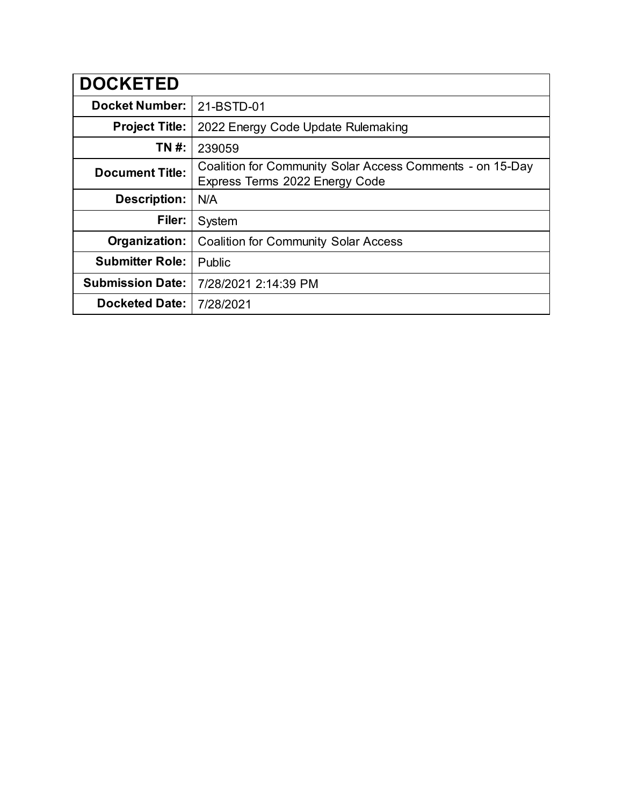| <b>DOCKETED</b>         |                                                                                             |
|-------------------------|---------------------------------------------------------------------------------------------|
| <b>Docket Number:</b>   | 21-BSTD-01                                                                                  |
| <b>Project Title:</b>   | 2022 Energy Code Update Rulemaking                                                          |
| TN #:                   | 239059                                                                                      |
| <b>Document Title:</b>  | Coalition for Community Solar Access Comments - on 15-Day<br>Express Terms 2022 Energy Code |
| <b>Description:</b>     | N/A                                                                                         |
| Filer:                  | System                                                                                      |
| Organization:           | <b>Coalition for Community Solar Access</b>                                                 |
| <b>Submitter Role:</b>  | Public                                                                                      |
| <b>Submission Date:</b> | 7/28/2021 2:14:39 PM                                                                        |
| <b>Docketed Date:</b>   | 7/28/2021                                                                                   |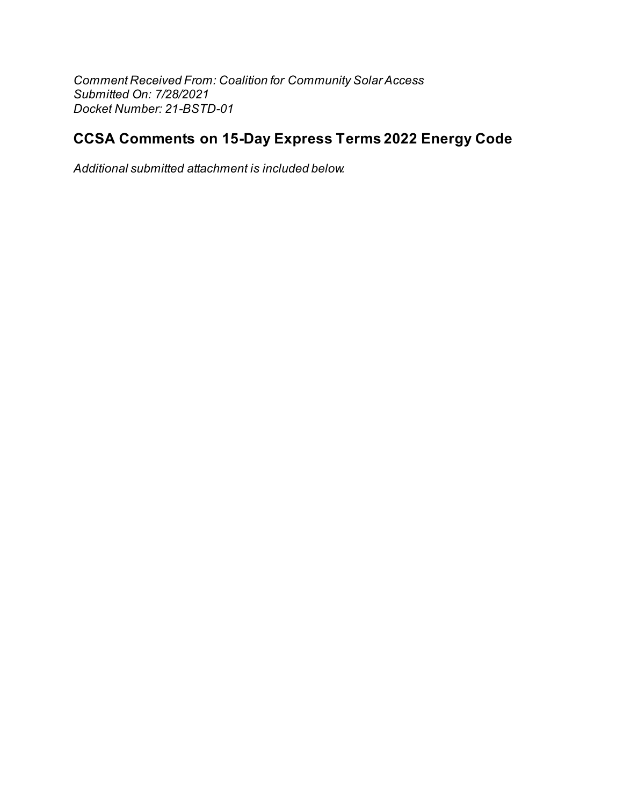Comment Received From: Coalition for Community Solar Access Submitted On: 7/28/2021 Docket Number: 21-BSTD-01

## **CCSA Comments on 15-Day Express Terms 2022 Energy Code**

Additional submitted attachment is included below.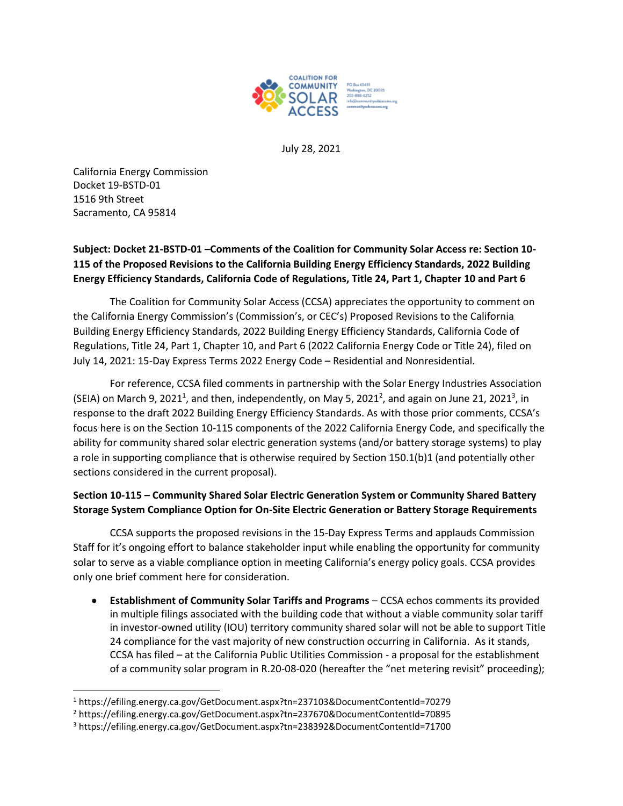

July 28, 2021

California Energy Commission Docket 19-BSTD-01 1516 9th Street Sacramento, CA 95814

## **Subject: Docket 21-BSTD-01 –Comments of the Coalition for Community Solar Access re: Section 10- 115 of the Proposed Revisions to the California Building Energy Efficiency Standards, 2022 Building Energy Efficiency Standards, California Code of Regulations, Title 24, Part 1, Chapter 10 and Part 6**

The Coalition for Community Solar Access (CCSA) appreciates the opportunity to comment on the California Energy Commission's (Commission's, or CEC's) Proposed Revisions to the California Building Energy Efficiency Standards, 2022 Building Energy Efficiency Standards, California Code of Regulations, Title 24, Part 1, Chapter 10, and Part 6 (2022 California Energy Code or Title 24), filed on July 14, 2021: 15-Day Express Terms 2022 Energy Code – Residential and Nonresidential.

For reference, CCSA filed comments in partnership with the Solar Energy Industries Association (SEIA) on March 9, 2021<sup>1</sup>, and then, independently, on May 5, 2021<sup>2</sup>, and again on June 21, 2021<sup>3</sup>, in response to the draft 2022 Building Energy Efficiency Standards. As with those prior comments, CCSA's focus here is on the Section 10-115 components of the 2022 California Energy Code, and specifically the ability for community shared solar electric generation systems (and/or battery storage systems) to play a role in supporting compliance that is otherwise required by Section 150.1(b)1 (and potentially other sections considered in the current proposal).

## **Section 10-115 – Community Shared Solar Electric Generation System or Community Shared Battery Storage System Compliance Option for On-Site Electric Generation or Battery Storage Requirements**

CCSA supports the proposed revisions in the 15-Day Express Terms and applauds Commission Staff for it's ongoing effort to balance stakeholder input while enabling the opportunity for community solar to serve as a viable compliance option in meeting California's energy policy goals. CCSA provides only one brief comment here for consideration.

• **Establishment of Community Solar Tariffs and Programs** – CCSA echos comments its provided in multiple filings associated with the building code that without a viable community solar tariff in investor-owned utility (IOU) territory community shared solar will not be able to support Title 24 compliance for the vast majority of new construction occurring in California. As it stands, CCSA has filed – at the California Public Utilities Commission - a proposal for the establishment of a community solar program in R.20-08-020 (hereafter the "net metering revisit" proceeding);

<sup>1</sup> https://efiling.energy.ca.gov/GetDocument.aspx?tn=237103&DocumentContentId=70279

<sup>2</sup> https://efiling.energy.ca.gov/GetDocument.aspx?tn=237670&DocumentContentId=70895

<sup>3</sup> https://efiling.energy.ca.gov/GetDocument.aspx?tn=238392&DocumentContentId=71700